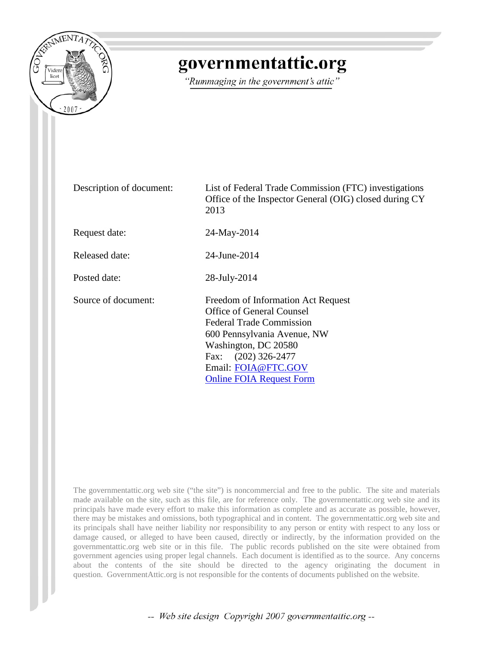

## governmentattic.org

"Rummaging in the government's attic"

| Description of document: | List of Federal Trade Commission (FTC) investigations<br>Office of the Inspector General (OIG) closed during CY<br>2013                                                                                                                           |  |
|--------------------------|---------------------------------------------------------------------------------------------------------------------------------------------------------------------------------------------------------------------------------------------------|--|
| Request date:            | 24-May-2014                                                                                                                                                                                                                                       |  |
| Released date:           | 24-June-2014                                                                                                                                                                                                                                      |  |
| Posted date:             | 28-July-2014                                                                                                                                                                                                                                      |  |
| Source of document:      | Freedom of Information Act Request<br><b>Office of General Counsel</b><br><b>Federal Trade Commission</b><br>600 Pennsylvania Avenue, NW<br>Washington, DC 20580<br>Fax: (202) 326-2477<br>Email: FOIA@FTC.GOV<br><b>Online FOIA Request Form</b> |  |

The governmentattic.org web site ("the site") is noncommercial and free to the public. The site and materials made available on the site, such as this file, are for reference only. The governmentattic.org web site and its principals have made every effort to make this information as complete and as accurate as possible, however, there may be mistakes and omissions, both typographical and in content. The governmentattic.org web site and its principals shall have neither liability nor responsibility to any person or entity with respect to any loss or damage caused, or alleged to have been caused, directly or indirectly, by the information provided on the governmentattic.org web site or in this file. The public records published on the site were obtained from government agencies using proper legal channels. Each document is identified as to the source. Any concerns about the contents of the site should be directed to the agency originating the document in question. GovernmentAttic.org is not responsible for the contents of documents published on the website.

-- Web site design Copyright 2007 governmentattic.org --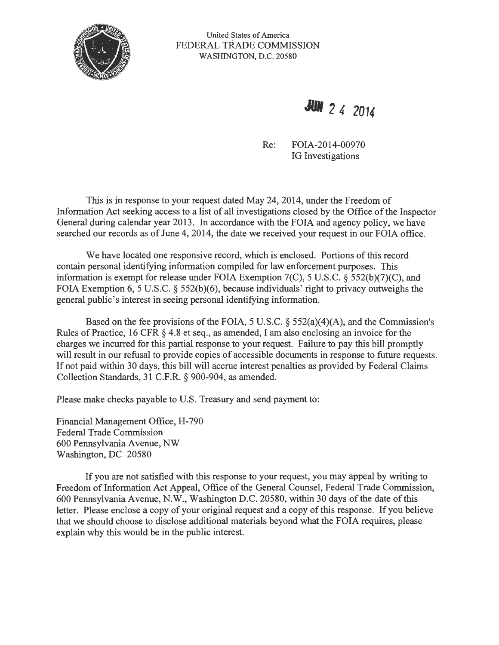

United States of America FEDERAL TRADE COMMISSION WASHINGTON, D.C. 20580

• *2* **4 20 <sup>14</sup>**

Re: FOIA-2014-00970 IG Investigations

This is in response to your request dated May 24, 2014, under the Freedom of Information Act seeking access to a list of all investigations closed by the Office of the Inspector General during calendar year 2013. In accordance with the FOIA and agency policy, we have searched our records as of June 4, 2014, the date we received your request in our FOIA office.

We have located one responsive record, which is enclosed. Portions of this record contain personal identifying information compiled for law enforcement purposes. This information is exempt for release under FOIA Exemption 7(C), 5 U.S.C. § 552(b)(7)(C), and FOIA Exemption  $6, 5$  U.S.C. § 552(b)(6), because individuals' right to privacy outweighs the general public's interest in seeing personal identifying information.

Based on the fee provisions of the FOIA, 5 U.S.C. § 552(a)(4)(A), and the Commission's Rules of Practice, 16 CFR § 4.8 et seq., as amended, I am also enclosing an invoice for the charges we incurred for this partial response to your request. Failure to pay this bill promptly will result in our refusal to provide copies of accessible documents in response to future requests. If not paid within 30 days, this bill will accrue interest penalties as provided by Federal Claims Collection Standards, 31 C.F .R. § 900-904, as amended.

Please make checks payable to U.S. Treasury and send payment to:

Financial Management Office, H-790 Federal Trade Commission 600 Pennsylvania A venue, NW Washington, DC 20580

If you are not satisfied with this response to your request, you may appeal by writing to Freedom of Information Act Appeal, Office of the General Counsel, Federal Trade Commission, 600 Pennsylvania Avenue, N.W., Washington D.C. 20580, within 30 days of the date of this letter. Please enclose a copy of your original request and a copy of this response. If you believe that we should choose to disclose additional materials beyond what the FOIA requires, please explain why this would be in the public interest.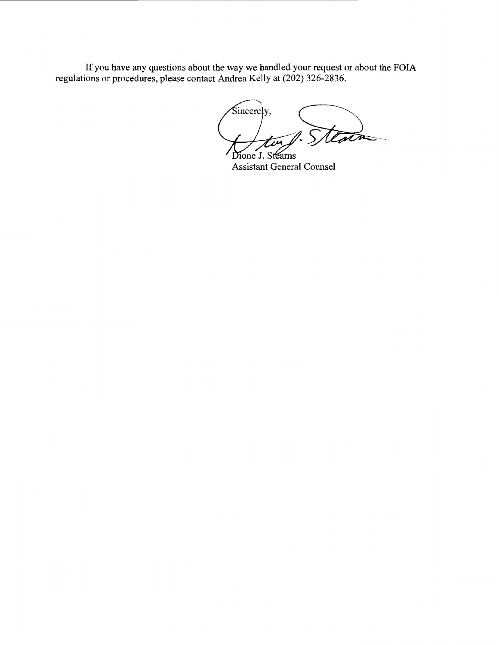If you have any questions about the way we handled your request or about the FOIA regulations or procedures, please contact Andrea Kelly at (202) 326-2836.

Sincerely, Dione J. Stearns

Assistant General Counsel